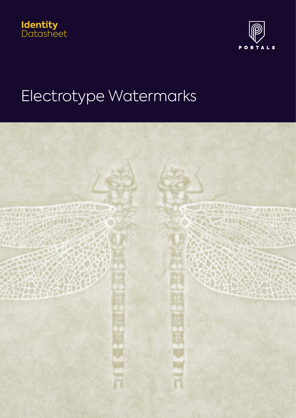



# Electrotype Watermarks